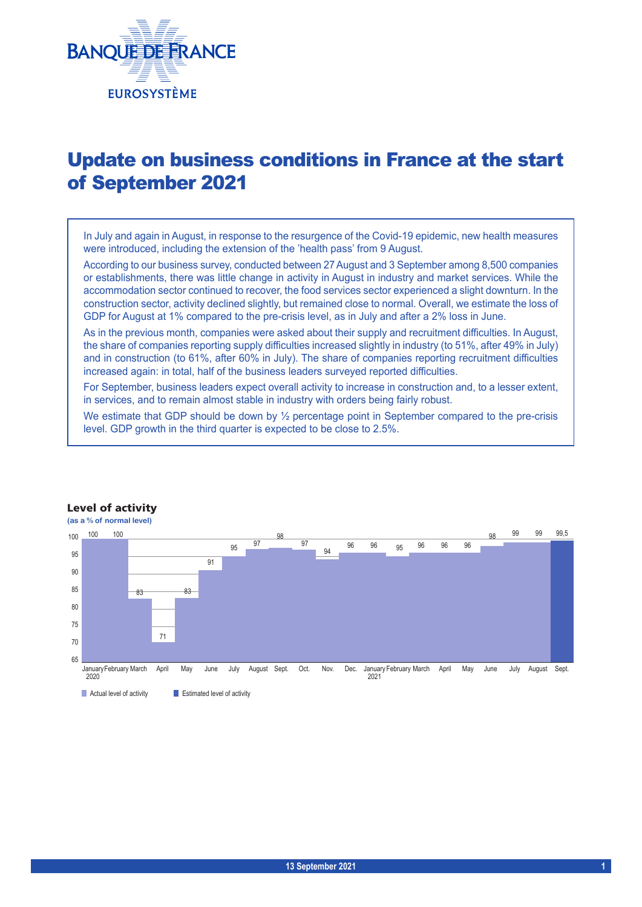

# Update on business conditions in France at the start of September 2021

In July and again in August, in response to the resurgence of the Covid-19 epidemic, new health measures were introduced, including the extension of the 'health pass' from 9 August.

According to our business survey, conducted between 27August and 3 September among 8,500 companies or establishments, there was little change in activity in August in industry and market services. While the accommodation sector continued to recover, the food services sector experienced a slight downturn. In the construction sector, activity declined slightly, but remained close to normal. Overall, we estimate the loss of GDP for August at 1% compared to the pre-crisis level, as in July and after a 2% loss in June.

As in the previous month, companies were asked about their supply and recruitment difficulties. In August, the share of companies reporting supply difficulties increased slightly in industry (to 51%, after 49% in July) and in construction (to 61%, after 60% in July). The share of companies reporting recruitment difficulties increased again: in total, half of the business leaders surveyed reported difficulties.

For September, business leaders expect overall activity to increase in construction and, to a lesser extent, in services, and to remain almost stable in industry with orders being fairly robust.

We estimate that GDP should be down by  $\frac{1}{2}$  percentage point in September compared to the pre-crisis level. GDP growth in the third quarter is expected to be close to 2.5%.



#### Level of activity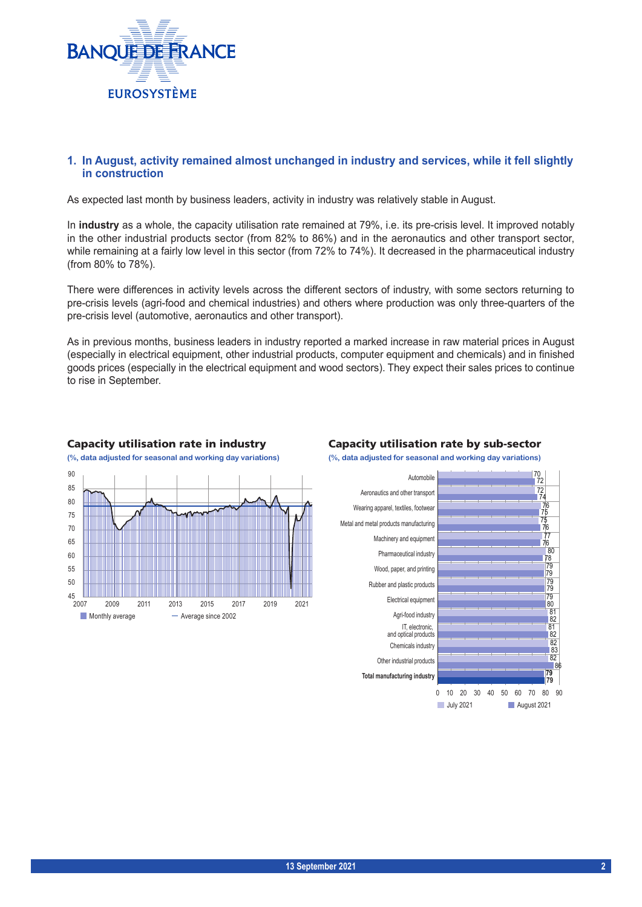

# **1. In August, activity remained almost unchanged in industry and services, while it fell slightly in construction**

As expected last month by business leaders, activity in industry was relatively stable in August.

In **industry** as a whole, the capacity utilisation rate remained at 79%, i.e. its pre-crisis level. It improved notably in the other industrial products sector (from 82% to 86%) and in the aeronautics and other transport sector, while remaining at a fairly low level in this sector (from 72% to 74%). It decreased in the pharmaceutical industry (from 80% to 78%).

There were differences in activity levels across the different sectors of industry, with some sectors returning to pre-crisis levels (agri-food and chemical industries) and others where production was only three-quarters of the pre-crisis level (automotive, aeronautics and other transport).

As in previous months, business leaders in industry reported a marked increase in raw material prices in August (especially in electrical equipment, other industrial products, computer equipment and chemicals) and in finished goods prices (especially in the electrical equipment and wood sectors). They expect their sales prices to continue to rise in September.



#### Capacity utilisation rate in industry Capacity utilisation rate by sub-sector

**(%, data adjusted for seasonal and working day variations) (%, data adjusted for seasonal and working day variations)**

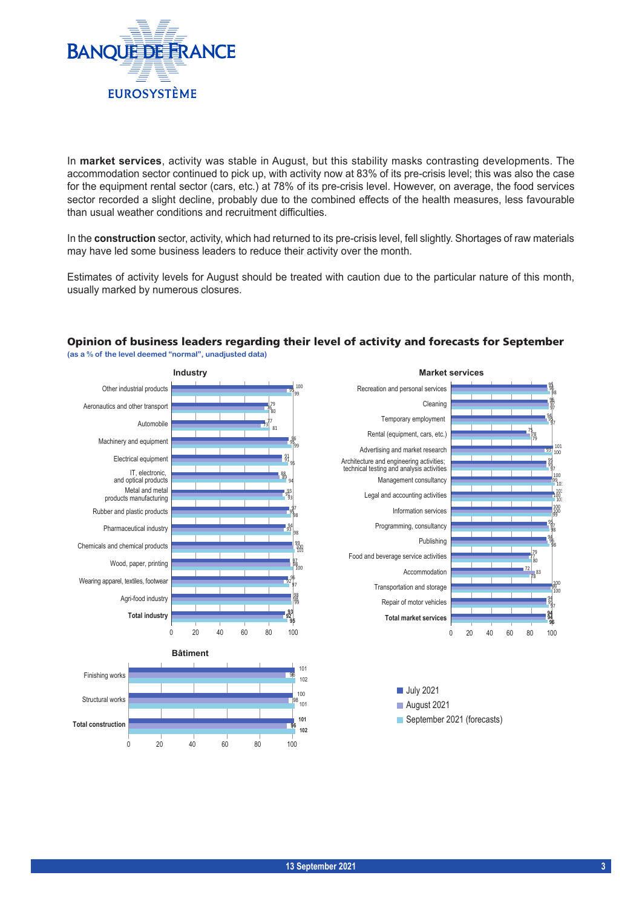

In **market services**, activity was stable in August, but this stability masks contrasting developments. The accommodation sector continued to pick up, with activity now at 83% of its pre-crisis level; this was also the case for the equipment rental sector (cars, etc.) at 78% of its pre-crisis level. However, on average, the food services sector recorded a slight decline, probably due to the combined effects of the health measures, less favourable than usual weather conditions and recruitment difficulties.

In the **construction** sector, activity, which had returned to its pre-crisis level, fell slightly. Shortages of raw materials may have led some business leaders to reduce their activity over the month.

Estimates of activity levels for August should be treated with caution due to the particular nature of this month, usually marked by numerous closures.



#### Opinion of business leaders regarding their level of activity and forecasts for September **(as a % of the level deemed "normal", unadjusted data)**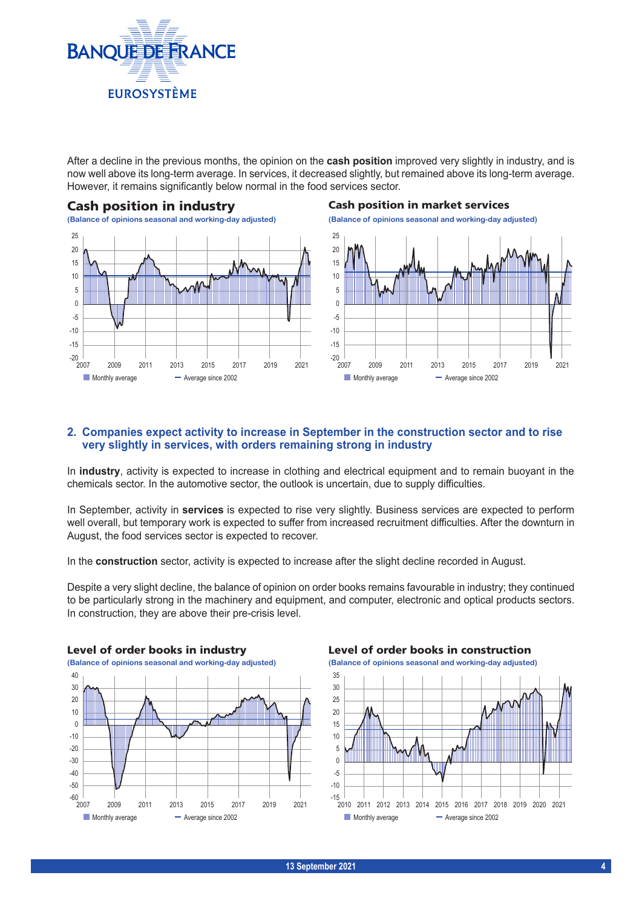

After a decline in the previous months, the opinion on the **cash position** improved very slightly in industry, and is now well above its long-term average. In services, it decreased slightly, but remained above its long-term average. However, it remains significantly below normal in the food services sector.



**(Balance of opinions seasonal and working-day adjusted) (Balance of opinions seasonal and working-day adjusted)**  $-20$   $\frac{1}{2007}$ -15 -10 -5  $\overline{0}$ 5 10 15 20 25 2007 2009 2011 2013 2015 2017 2019 2021  $\blacksquare$  Monthly average  $\blacksquare$  Average since 2002

# **2. Companies expect activity to increase in September in the construction sector and to rise very slightly in services, with orders remaining strong in industry**

In **industry**, activity is expected to increase in clothing and electrical equipment and to remain buoyant in the chemicals sector. In the automotive sector, the outlook is uncertain, due to supply difficulties.

In September, activity in **services** is expected to rise very slightly. Business services are expected to perform well overall, but temporary work is expected to suffer from increased recruitment difficulties. After the downturn in August, the food services sector is expected to recover.

In the **construction** sector, activity is expected to increase after the slight decline recorded in August.

Despite a very slight decline, the balance of opinion on order books remains favourable in industry; they continued to be particularly strong in the machinery and equipment, and computer, electronic and optical products sectors. In construction, they are above their pre-crisis level.



Level of order books in construction



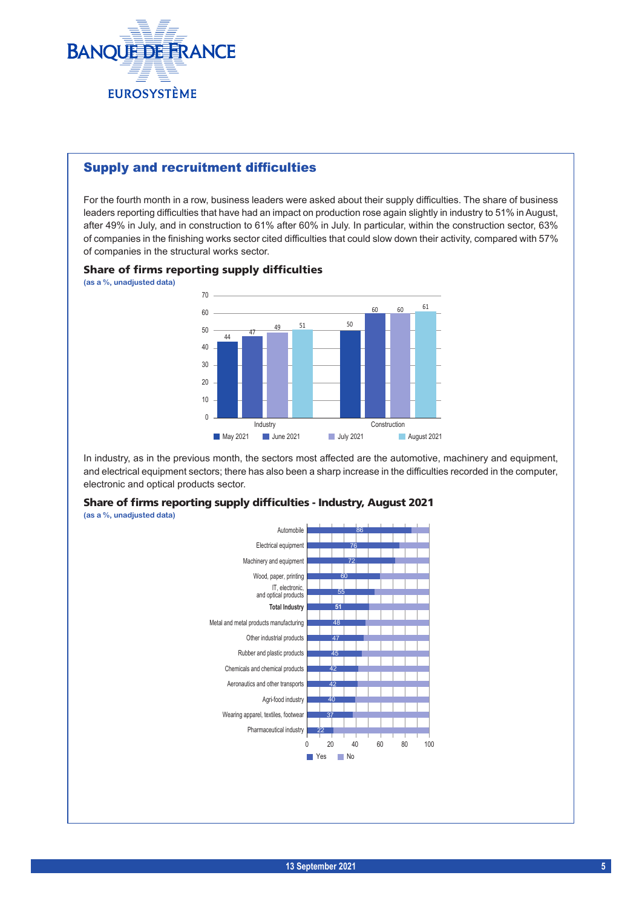

# Supply and recruitment difficulties

For the fourth month in a row, business leaders were asked about their supply difficulties. The share of business leaders reporting difficulties that have had an impact on production rose again slightly in industry to 51% in August, after 49% in July, and in construction to 61% after 60% in July. In particular, within the construction sector, 63% of companies in the finishing works sector cited difficulties that could slow down their activity, compared with 57% of companies in the structural works sector.

#### Share of firms reporting supply difficulties

**(as a %, unadjusted data)**



In industry, as in the previous month, the sectors most affected are the automotive, machinery and equipment, and electrical equipment sectors; there has also been a sharp increase in the difficulties recorded in the computer, electronic and optical products sector.



**(as a %, unadjusted data)**

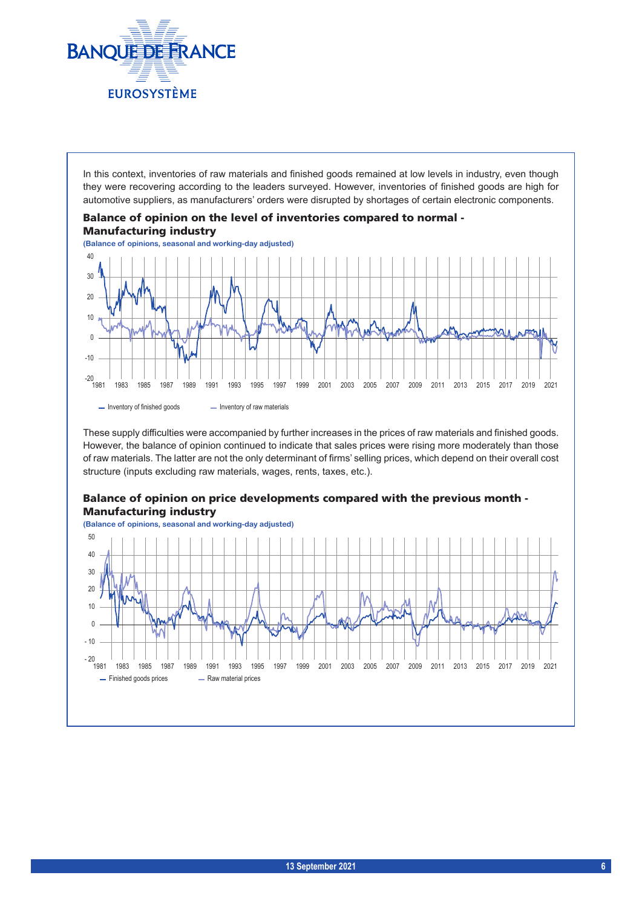

In this context, inventories of raw materials and finished goods remained at low levels in industry, even though they were recovering according to the leaders surveyed. However, inventories of finished goods are high for automotive suppliers, as manufacturers' orders were disrupted by shortages of certain electronic components.



These supply difficulties were accompanied by further increases in the prices of raw materials and finished goods. However, the balance of opinion continued to indicate that sales prices were rising more moderately than those of raw materials. The latter are not the only determinant of firms' selling prices, which depend on their overall cost structure (inputs excluding raw materials, wages, rents, taxes, etc.).

### Balance of opinion on price developments compared with the previous month - Manufacturing industry

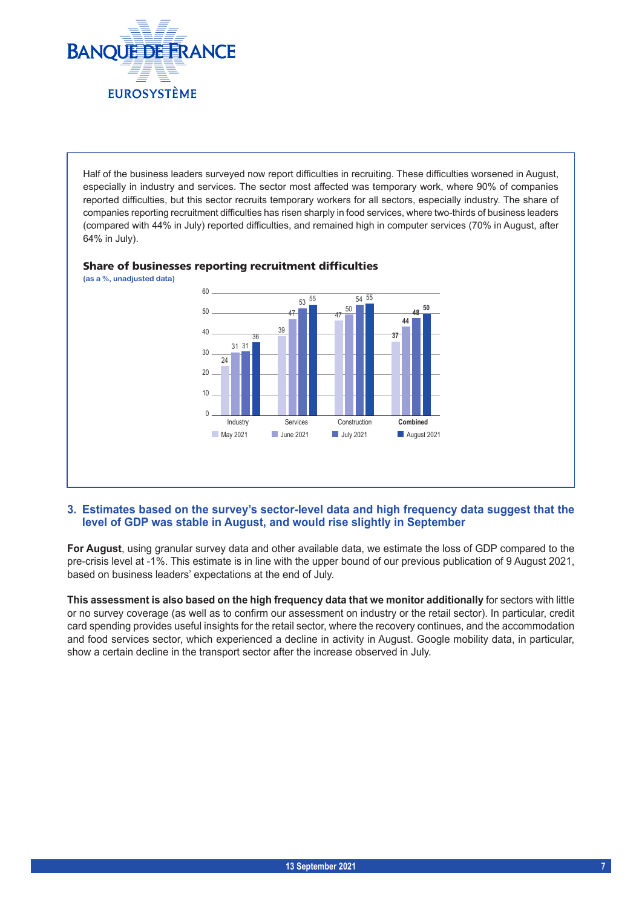

Half of the business leaders surveyed now report difficulties in recruiting. These difficulties worsened in August, especially in industry and services. The sector most affected was temporary work, where 90% of companies reported difficulties, but this sector recruits temporary workers for all sectors, especially industry. The share of companies reporting recruitment difficulties has risen sharply in food services, where two-thirds of business leaders (compared with 44% in July) reported difficulties, and remained high in computer services (70% in August, after 64% in July).



### Share of businesses reporting recruitment difficulties

### **3. Estimates based on the survey's sector-level data and high frequency data suggest that the level of GDP was stable in August, and would rise slightly in September**

**For August**, using granular survey data and other available data, we estimate the loss of GDP compared to the pre-crisis level at -1%. This estimate is in line with the upper bound of our previous publication of 9 August 2021, based on business leaders' expectations at the end of July.

**This assessment is also based on the high frequency data that we monitor additionally** for sectors with little or no survey coverage (as well as to confirm our assessment on industry or the retail sector). In particular, credit card spending provides useful insights for the retail sector, where the recovery continues, and the accommodation and food services sector, which experienced a decline in activity in August. Google mobility data, in particular, show a certain decline in the transport sector after the increase observed in July.